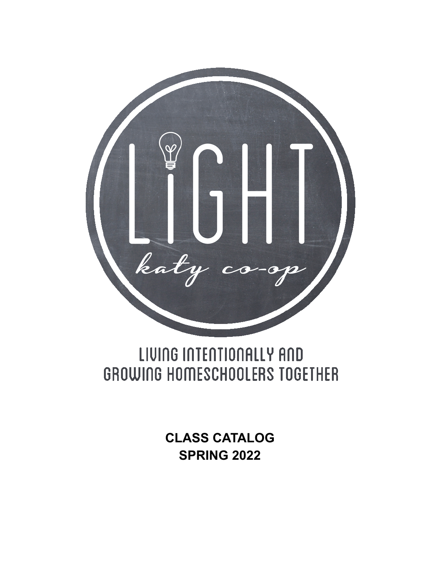

# LIVING INTENTIONALLY AND GROWING HOMESCHOOLERS TOGETHER

**CLASS CATALOG SPRING 2022**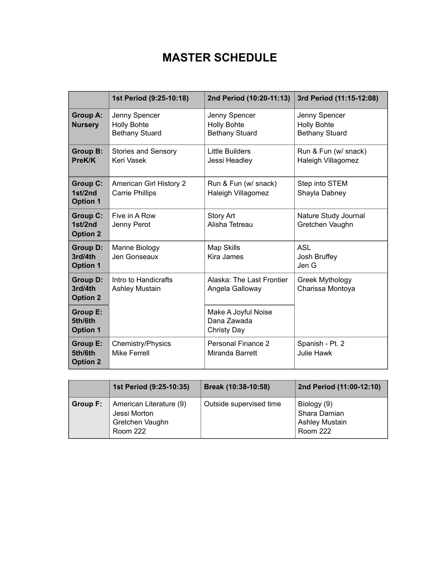# **MASTER SCHEDULE**

|                                               | 1st Period (9:25-10:18)                                      | 2nd Period (10:20-11:13)                                     | 3rd Period (11:15-12:08)                                     |
|-----------------------------------------------|--------------------------------------------------------------|--------------------------------------------------------------|--------------------------------------------------------------|
| <b>Group A:</b><br><b>Nursery</b>             | Jenny Spencer<br><b>Holly Bohte</b><br><b>Bethany Stuard</b> | Jenny Spencer<br><b>Holly Bohte</b><br><b>Bethany Stuard</b> | Jenny Spencer<br><b>Holly Bohte</b><br><b>Bethany Stuard</b> |
| <b>Group B:</b><br>PreK/K                     | <b>Stories and Sensory</b><br>Keri Vasek                     | Little Builders<br>Jessi Headley                             | Run & Fun (w/ snack)<br>Haleigh Villagomez                   |
| <b>Group C:</b><br>1st/2nd<br><b>Option 1</b> | <b>American Girl History 2</b><br><b>Carrie Phillips</b>     | Run & Fun (w/ snack)<br>Haleigh Villagomez                   | Step into STEM<br>Shayla Dabney                              |
| <b>Group C:</b><br>1st/2nd<br><b>Option 2</b> | Five in A Row<br>Jenny Perot                                 | <b>Story Art</b><br>Alisha Tetreau                           | Nature Study Journal<br>Gretchen Vaughn                      |
| <b>Group D:</b><br>3rd/4th<br><b>Option 1</b> | Marine Biology<br>Jen Gonseaux                               | Map Skills<br><b>Kira James</b>                              | <b>ASL</b><br>Josh Bruffey<br>Jen G                          |
| <b>Group D:</b><br>3rd/4th<br><b>Option 2</b> | Intro to Handicrafts<br><b>Ashley Mustain</b>                | Alaska: The Last Frontier<br>Angela Galloway                 | <b>Greek Mythology</b><br>Charissa Montoya                   |
| <b>Group E:</b><br>5th/6th<br><b>Option 1</b> |                                                              | Make A Joyful Noise<br>Dana Zawada<br>Christy Day            |                                                              |
| <b>Group E:</b><br>5th/6th<br><b>Option 2</b> | <b>Chemistry/Physics</b><br><b>Mike Ferrell</b>              | Personal Finance 2<br>Miranda Barrett                        | Spanish - Pt. 2<br>Julie Hawk                                |

|          | 1st Period (9:25-10:35)                                                       | Break (10:38-10:58)     | 2nd Period (11:00-12:10)                                                |
|----------|-------------------------------------------------------------------------------|-------------------------|-------------------------------------------------------------------------|
| Group F: | American Literature (9)<br>Jessi Morton<br>Gretchen Vaughn<br><b>Room 222</b> | Outside supervised time | Biology (9)<br>Shara Damian<br><b>Ashley Mustain</b><br><b>Room 222</b> |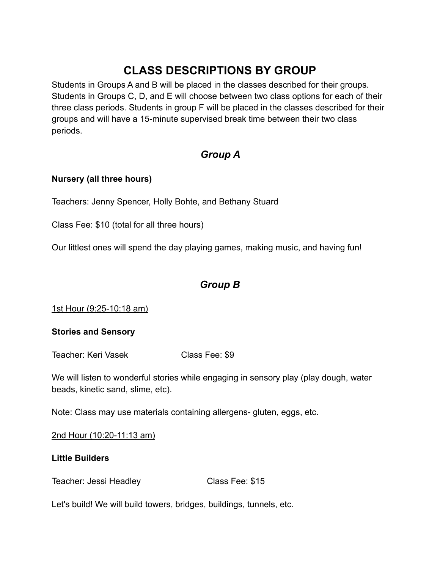# **CLASS DESCRIPTIONS BY GROUP**

Students in Groups A and B will be placed in the classes described for their groups. Students in Groups C, D, and E will choose between two class options for each of their three class periods. Students in group F will be placed in the classes described for their groups and will have a 15-minute supervised break time between their two class periods.

# *Group A*

#### **Nursery (all three hours)**

Teachers: Jenny Spencer, Holly Bohte, and Bethany Stuard

Class Fee: \$10 (total for all three hours)

Our littlest ones will spend the day playing games, making music, and having fun!

## *Group B*

1st Hour (9:25-10:18 am)

#### **Stories and Sensory**

Teacher: Keri Vasek Class Fee: \$9

We will listen to wonderful stories while engaging in sensory play (play dough, water beads, kinetic sand, slime, etc).

Note: Class may use materials containing allergens- gluten, eggs, etc.

2nd Hour (10:20-11:13 am)

#### **Little Builders**

Teacher: Jessi Headley Class Fee: \$15

Let's build! We will build towers, bridges, buildings, tunnels, etc.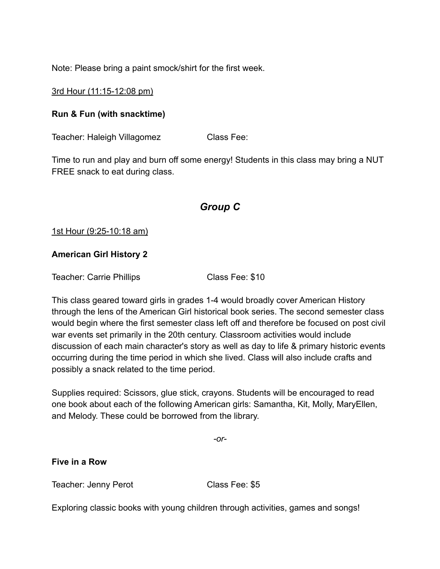Note: Please bring a paint smock/shirt for the first week.

3rd Hour (11:15-12:08 pm)

#### **Run & Fun (with snacktime)**

Teacher: Haleigh Villagomez Class Fee:

Time to run and play and burn off some energy! Students in this class may bring a NUT FREE snack to eat during class.

## *Group C*

#### 1st Hour (9:25-10:18 am)

#### **American Girl History 2**

Teacher: Carrie Phillips Class Fee: \$10

This class geared toward girls in grades 1-4 would broadly cover American History through the lens of the American Girl historical book series. The second semester class would begin where the first semester class left off and therefore be focused on post civil war events set primarily in the 20th century. Classroom activities would include discussion of each main character's story as well as day to life & primary historic events occurring during the time period in which she lived. Class will also include crafts and possibly a snack related to the time period.

Supplies required: Scissors, glue stick, crayons. Students will be encouraged to read one book about each of the following American girls: Samantha, Kit, Molly, MaryEllen, and Melody. These could be borrowed from the library.

*-or-*

#### **Five in a Row**

Teacher: Jenny Perot Class Fee: \$5

Exploring classic books with young children through activities, games and songs!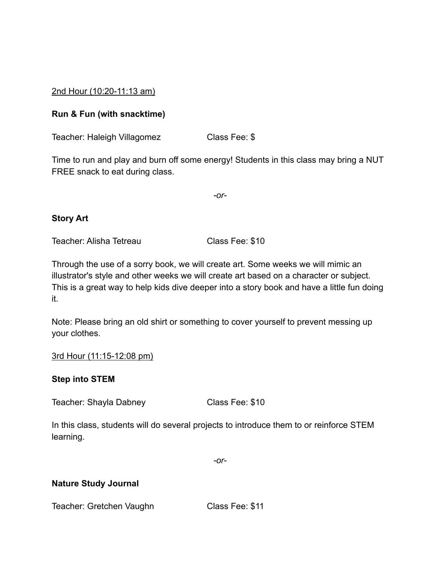2nd Hour (10:20-11:13 am)

#### **Run & Fun (with snacktime)**

Teacher: Haleigh Villagomez Class Fee: \$

Time to run and play and burn off some energy! Students in this class may bring a NUT FREE snack to eat during class.

*-or-*

#### **Story Art**

Teacher: Alisha Tetreau Class Fee: \$10

Through the use of a sorry book, we will create art. Some weeks we will mimic an illustrator's style and other weeks we will create art based on a character or subject. This is a great way to help kids dive deeper into a story book and have a little fun doing it.

Note: Please bring an old shirt or something to cover yourself to prevent messing up your clothes.

#### 3rd Hour (11:15-12:08 pm)

#### **Step into STEM**

Teacher: Shayla Dabney Class Fee: \$10

In this class, students will do several projects to introduce them to or reinforce STEM learning.

*-or-*

#### **Nature Study Journal**

Teacher: Gretchen Vaughn Class Fee: \$11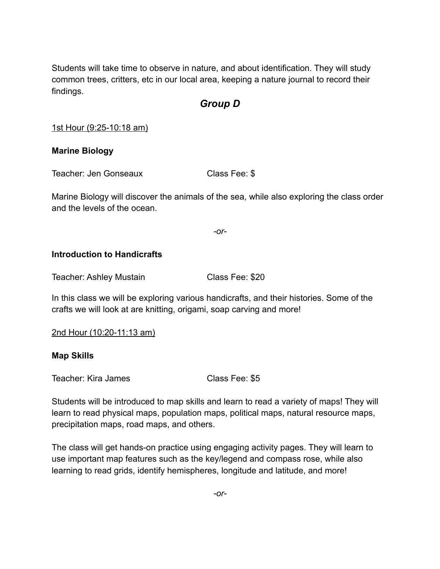Students will take time to observe in nature, and about identification. They will study common trees, critters, etc in our local area, keeping a nature journal to record their findings.

# *Group D*

1st Hour (9:25-10:18 am)

#### **Marine Biology**

Teacher: Jen Gonseaux Class Fee: \$

Marine Biology will discover the animals of the sea, while also exploring the class order and the levels of the ocean.

*-or-*

#### **Introduction to Handicrafts**

Teacher: Ashley Mustain Class Fee: \$20

In this class we will be exploring various handicrafts, and their histories. Some of the crafts we will look at are knitting, origami, soap carving and more!

2nd Hour (10:20-11:13 am)

#### **Map Skills**

Teacher: Kira James Class Fee: \$5

Students will be introduced to map skills and learn to read a variety of maps! They will learn to read physical maps, population maps, political maps, natural resource maps, precipitation maps, road maps, and others.

The class will get hands-on practice using engaging activity pages. They will learn to use important map features such as the key/legend and compass rose, while also learning to read grids, identify hemispheres, longitude and latitude, and more!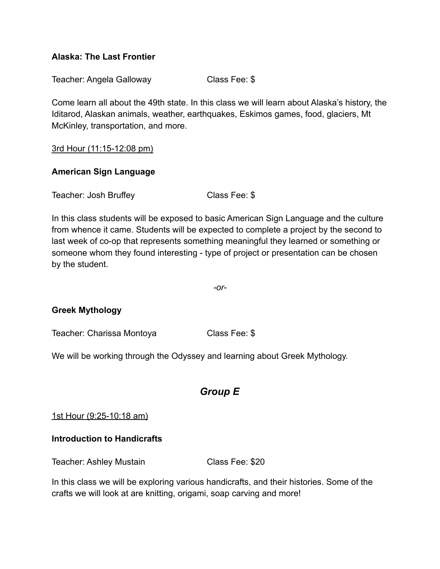#### **Alaska: The Last Frontier**

Teacher: Angela Galloway Class Fee: \$

Come learn all about the 49th state. In this class we will learn about Alaska's history, the Iditarod, Alaskan animals, weather, earthquakes, Eskimos games, food, glaciers, Mt McKinley, transportation, and more.

3rd Hour (11:15-12:08 pm)

#### **American Sign Language**

Teacher: Josh Bruffey Class Fee: \$

In this class students will be exposed to basic American Sign Language and the culture from whence it came. Students will be expected to complete a project by the second to last week of co-op that represents something meaningful they learned or something or someone whom they found interesting - type of project or presentation can be chosen by the student.

*-or-*

#### **Greek Mythology**

Teacher: Charissa Montoya Class Fee: \$

We will be working through the Odyssey and learning about Greek Mythology.

### *Group E*

1st Hour (9:25-10:18 am)

#### **Introduction to Handicrafts**

Teacher: Ashley Mustain Class Fee: \$20

In this class we will be exploring various handicrafts, and their histories. Some of the crafts we will look at are knitting, origami, soap carving and more!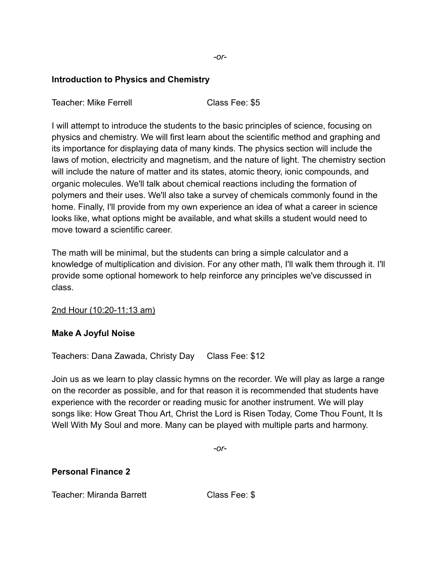#### **Introduction to Physics and Chemistry**

Teacher: Mike Ferrell **Class Fee: \$5** 

I will attempt to introduce the students to the basic principles of science, focusing on physics and chemistry. We will first learn about the scientific method and graphing and its importance for displaying data of many kinds. The physics section will include the laws of motion, electricity and magnetism, and the nature of light. The chemistry section will include the nature of matter and its states, atomic theory, ionic compounds, and organic molecules. We'll talk about chemical reactions including the formation of polymers and their uses. We'll also take a survey of chemicals commonly found in the home. Finally, I'll provide from my own experience an idea of what a career in science looks like, what options might be available, and what skills a student would need to move toward a scientific career.

The math will be minimal, but the students can bring a simple calculator and a knowledge of multiplication and division. For any other math, I'll walk them through it. I'll provide some optional homework to help reinforce any principles we've discussed in class.

#### 2nd Hour (10:20-11:13 am)

#### **Make A Joyful Noise**

Teachers: Dana Zawada, Christy Day Class Fee: \$12

Join us as we learn to play classic hymns on the recorder. We will play as large a range on the recorder as possible, and for that reason it is recommended that students have experience with the recorder or reading music for another instrument. We will play songs like: How Great Thou Art, Christ the Lord is Risen Today, Come Thou Fount, It Is Well With My Soul and more. Many can be played with multiple parts and harmony.

*-or-*

#### **Personal Finance 2**

Teacher: Miranda Barrett Class Fee: \$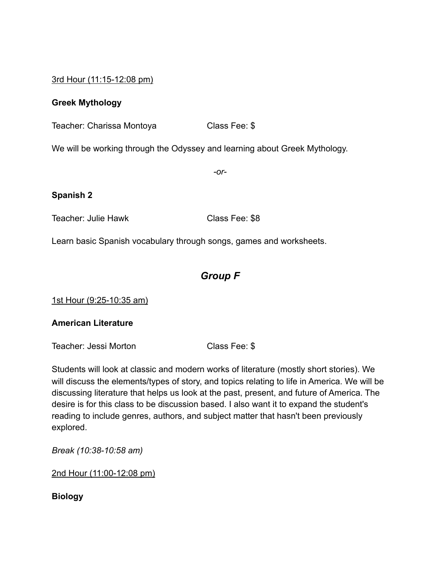3rd Hour (11:15-12:08 pm)

#### **Greek Mythology**

Teacher: Charissa Montoya Class Fee: \$

We will be working through the Odyssey and learning about Greek Mythology.

*-or-*

#### **Spanish 2**

Teacher: Julie Hawk Class Fee: \$8

Learn basic Spanish vocabulary through songs, games and worksheets.

# *Group F*

1st Hour (9:25-10:35 am)

#### **American Literature**

Teacher: Jessi Morton Class Fee: \$

Students will look at classic and modern works of literature (mostly short stories). We will discuss the elements/types of story, and topics relating to life in America. We will be discussing literature that helps us look at the past, present, and future of America. The desire is for this class to be discussion based. I also want it to expand the student's reading to include genres, authors, and subject matter that hasn't been previously explored.

*Break (10:38-10:58 am)* 

2nd Hour (11:00-12:08 pm)

**Biology**